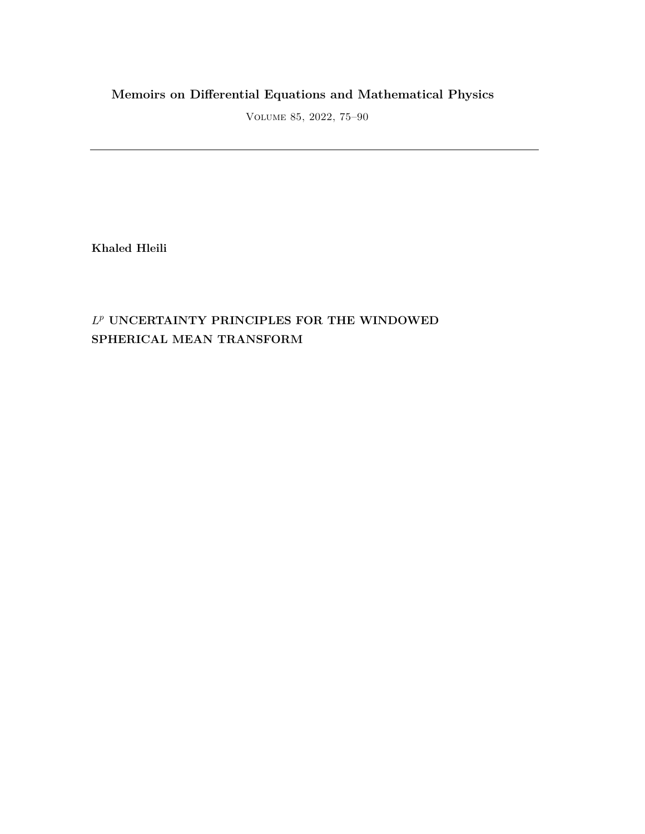## **Memoirs on Differential Equations and Mathematical Physics**

Volume 85, 2022, 75–90

**Khaled Hleili**

## *L <sup>p</sup>* **UNCERTAINTY PRINCIPLES FOR THE WINDOWED SPHERICAL MEAN TRANSFORM**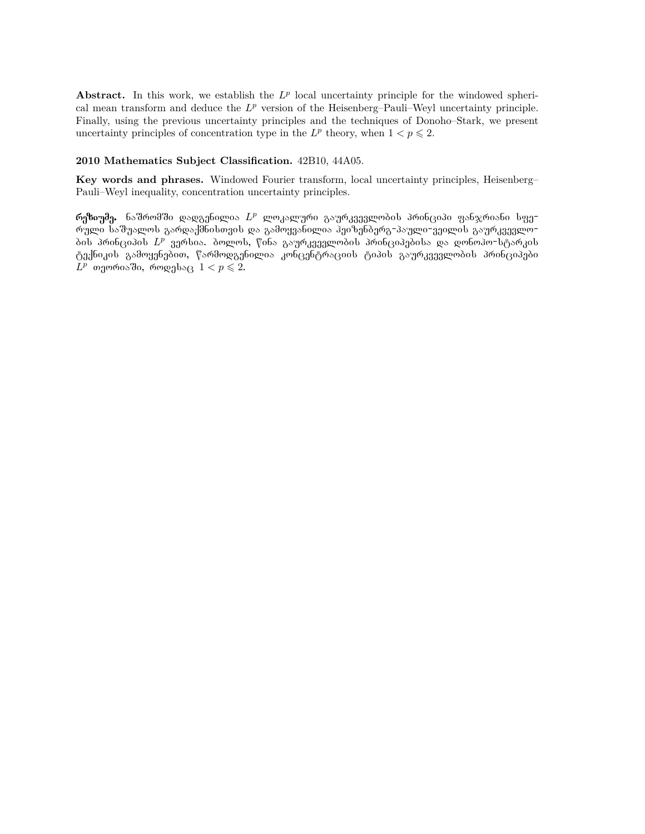Abstract. In this work, we establish the  $L^p$  local uncertainty principle for the windowed spherical mean transform and deduce the  $L^p$  version of the Heisenberg–Pauli–Weyl uncertainty principle. Finally, using the previous uncertainty principles and the techniques of Donoho–Stark, we present uncertainty principles of concentration type in the  $L^p$  theory, when  $1 < p \leq 2$ .

### **2010 Mathematics Subject Classification.** 42B10, 44A05.

**Key words and phrases.** Windowed Fourier transform, local uncertainty principles, Heisenberg– Pauli–Weyl inequality, concentration uncertainty principles.

<mark>რეზიუმე.</mark> ნაშრომში დადგენილია  $L^p$  ლოკალური გაურკვევლობის პრინციპი ფანჯრიანი სფერული საშუალოს გარდაქმნისთვის და გამოყვანილია ჰეიზენბერგ-პაული-ვეილის გაურკვევლობის პრინციპის  $L^p$  ვერსია. ბოლოს, წინა გაურკვევლობის პრინციპებისა და დონოპო-სტარკის ტექნიკის გამოყენებით, წარმოდგენილია კონცენტრაციის ტიპის გაურკვევლობის პრინციპები  $L^p$  თეორიაში, როდესაც  $1 < p \leqslant 2$ .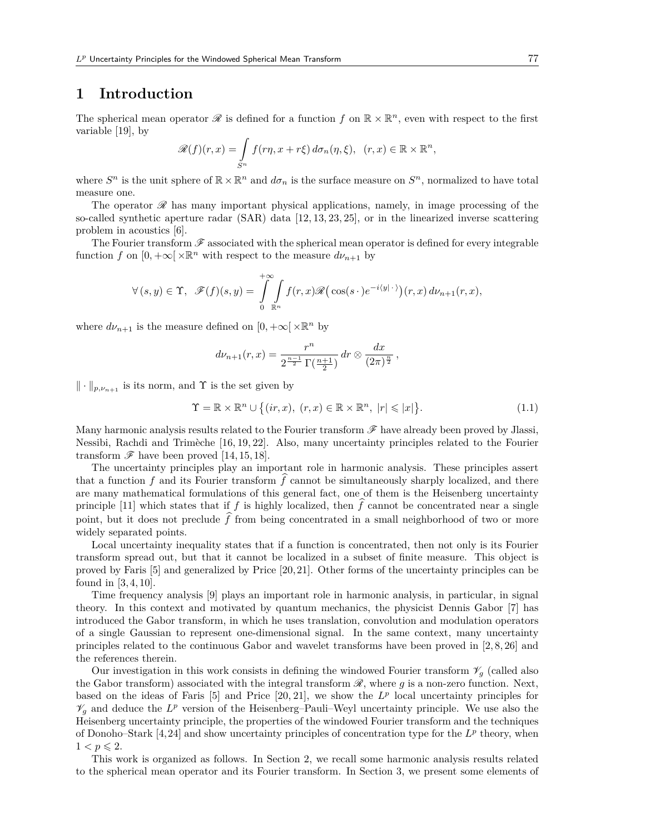### **1 Introduction**

The spherical mean operator  $\mathscr R$  is defined for a function  $f$  on  $\mathbb R \times \mathbb R^n$ , even with respect to the first variable [19], by

$$
\mathscr{R}(f)(r,x) = \int_{S^n} f(r\eta, x + r\xi) d\sigma_n(\eta, \xi), \quad (r,x) \in \mathbb{R} \times \mathbb{R}^n,
$$

where  $S^n$  is the unit sphere of  $\mathbb{R} \times \mathbb{R}^n$  and  $d\sigma_n$  is the surface measure on  $S^n$ , normalized to have total measure one.

The operator *R* has many important physical applications, namely, in image processing of the so-called synthetic aperture radar (SAR) data [12, 13, 23, 25], or in the linearized inverse scattering problem in acoustics [6].

The Fourier transform *F* associated with the spherical mean operator is defined for every integrable function *f* on  $[0, +\infty[\times \mathbb{R}^n]$  with respect to the measure  $d\nu_{n+1}$  by

$$
\forall (s,y) \in \Upsilon, \ \mathscr{F}(f)(s,y) = \int_{0}^{+\infty} \int_{\mathbb{R}^n} f(r,x) \mathscr{R}(\cos(s \cdot) e^{-i\langle y | \cdot \rangle})(r,x) d\nu_{n+1}(r,x),
$$

where  $d\nu_{n+1}$  is the measure defined on  $[0, +\infty[\times \mathbb{R}^n]$  by

$$
d\nu_{n+1}(r,x) = \frac{r^n}{2^{\frac{n-1}{2}}\Gamma(\frac{n+1}{2})} dr \otimes \frac{dx}{(2\pi)^{\frac{n}{2}}},
$$

*∥ · ∥p,νn*+1 is its norm, and Υ is the set given by

$$
\Upsilon = \mathbb{R} \times \mathbb{R}^n \cup \left\{ (ir, x), (r, x) \in \mathbb{R} \times \mathbb{R}^n, |r| \leqslant |x| \right\}.
$$
 (1.1)

Many harmonic analysis results related to the Fourier transform *F* have already been proved by Jlassi, Nessibi, Rachdi and Trimèche [16, 19, 22]. Also, many uncertainty principles related to the Fourier transform  $\mathscr F$  have been proved [14, 15, 18].

The uncertainty principles play an important role in harmonic analysis. These principles assert that a function  $f$  and its Fourier transform  $f$  cannot be simultaneously sharply localized, and there are many mathematical formulations of this general fact, one of them is the Heisenberg uncertainty principle [11] which states that if  $f$  is highly localized, then  $f$  cannot be concentrated near a single point, but it does not preclude  $\hat{f}$  from being concentrated in a small neighborhood of two or more widely separated points.

Local uncertainty inequality states that if a function is concentrated, then not only is its Fourier transform spread out, but that it cannot be localized in a subset of finite measure. This object is proved by Faris [5] and generalized by Price [20,21]. Other forms of the uncertainty principles can be found in [3,4,10].

Time frequency analysis [9] plays an important role in harmonic analysis, in particular, in signal theory. In this context and motivated by quantum mechanics, the physicist Dennis Gabor [7] has introduced the Gabor transform, in which he uses translation, convolution and modulation operators of a single Gaussian to represent one-dimensional signal. In the same context, many uncertainty principles related to the continuous Gabor and wavelet transforms have been proved in [2, 8, 26] and the references therein.

Our investigation in this work consists in defining the windowed Fourier transform  $\mathcal{V}_g$  (called also the Gabor transform) associated with the integral transform *R*, where *g* is a non-zero function. Next, based on the ideas of Faris  $[5]$  and Price  $[20, 21]$ , we show the  $L^p$  local uncertainty principles for  $\mathcal{V}_g$  and deduce the  $L^p$  version of the Heisenberg–Pauli–Weyl uncertainty principle. We use also the Heisenberg uncertainty principle, the properties of the windowed Fourier transform and the techniques of Donoho–Stark  $[4, 24]$  and show uncertainty principles of concentration type for the  $L^p$  theory, when  $1 < p \leqslant 2$ .

This work is organized as follows. In Section 2, we recall some harmonic analysis results related to the spherical mean operator and its Fourier transform. In Section 3, we present some elements of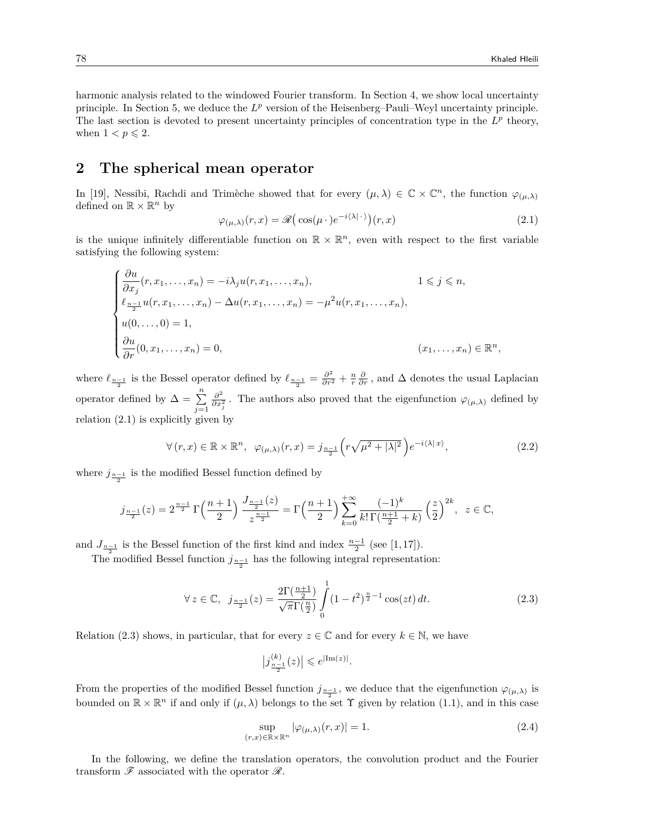harmonic analysis related to the windowed Fourier transform. In Section 4, we show local uncertainty principle. In Section 5, we deduce the  $L^p$  version of the Heisenberg–Pauli–Weyl uncertainty principle. The last section is devoted to present uncertainty principles of concentration type in the  $L^p$  theory, when  $1 < p \leqslant 2$ .

### **2 The spherical mean operator**

In [19], Nessibi, Rachdi and Trimèche showed that for every  $(\mu, \lambda) \in \mathbb{C} \times \mathbb{C}^n$ , the function  $\varphi_{(\mu,\lambda)}$ defined on  $\mathbb{R} \times \mathbb{R}^n$  by

$$
\varphi_{(\mu,\lambda)}(r,x) = \mathcal{R}\big(\cos(\mu \cdot)e^{-i\langle\lambda|\cdot\rangle}\big)(r,x)
$$
\n(2.1)

is the unique infinitely differentiable function on  $\mathbb{R} \times \mathbb{R}^n$ , even with respect to the first variable satisfying the following system:

$$
\begin{cases}\n\frac{\partial u}{\partial x_j}(r, x_1, \dots, x_n) = -i\lambda_j u(r, x_1, \dots, x_n), & 1 \le j \le n, \\
\ell_{\frac{n-1}{2}} u(r, x_1, \dots, x_n) - \Delta u(r, x_1, \dots, x_n) = -\mu^2 u(r, x_1, \dots, x_n), \\
u(0, \dots, 0) = 1, \\
\frac{\partial u}{\partial r}(0, x_1, \dots, x_n) = 0, & (x_1, \dots, x_n) \in \mathbb{R}^n,\n\end{cases}
$$

where  $\ell_{\frac{n-1}{2}}$  is the Bessel operator defined by  $\ell_{\frac{n-1}{2}} = \frac{\partial^2}{\partial r^2} + \frac{n}{r} \frac{\partial}{\partial r}$ , and  $\Delta$  denotes the usual Laplacian operator defined by  $\Delta = \sum_{n=1}^n$ *j*=1 *∂* 2  $\frac{\partial^2}{\partial x_j^2}$ . The authors also proved that the eigenfunction  $\varphi_{(\mu,\lambda)}$  defined by relation  $(2.1)$  is explicitly given by

$$
\forall (r, x) \in \mathbb{R} \times \mathbb{R}^n, \ \varphi_{(\mu, \lambda)}(r, x) = j_{\frac{n-1}{2}} \left( r \sqrt{\mu^2 + |\lambda|^2} \right) e^{-i \langle \lambda | x \rangle}, \tag{2.2}
$$

where  $j_{\frac{n-1}{2}}$  is the modified Bessel function defined by

$$
j_{\frac{n-1}{2}}(z) = 2^{\frac{n-1}{2}} \Gamma\left(\frac{n+1}{2}\right) \frac{J_{\frac{n-1}{2}}(z)}{z^{\frac{n-1}{2}}} = \Gamma\left(\frac{n+1}{2}\right) \sum_{k=0}^{+\infty} \frac{(-1)^k}{k! \Gamma\left(\frac{n+1}{2}+k\right)} \left(\frac{z}{2}\right)^{2k}, \ z \in \mathbb{C},
$$

and  $J_{\frac{n-1}{2}}$  is the Bessel function of the first kind and index  $\frac{n-1}{2}$  (see [1,17]).

The modified Bessel function  $j_{\frac{n-1}{2}}$  has the following integral representation:

$$
\forall z \in \mathbb{C}, \ \ j_{\frac{n-1}{2}}(z) = \frac{2\Gamma(\frac{n+1}{2})}{\sqrt{\pi}\Gamma(\frac{n}{2})} \int_{0}^{1} (1-t^2)^{\frac{n}{2}-1} \cos(zt) dt.
$$
 (2.3)

Relation (2.3) shows, in particular, that for every  $z \in \mathbb{C}$  and for every  $k \in \mathbb{N}$ , we have

$$
\big|j^{(k)}_{\frac{n-1}{2}}(z)\big|\leqslant e^{|\text{Im}(z)|}.
$$

From the properties of the modified Bessel function  $j_{\frac{n-1}{2}}$ , we deduce that the eigenfunction  $\varphi_{(\mu,\lambda)}$  is bounded on  $\mathbb{R} \times \mathbb{R}^n$  if and only if  $(\mu, \lambda)$  belongs to the set  $\Upsilon$  given by relation (1.1), and in this case

$$
\sup_{(r,x)\in\mathbb{R}\times\mathbb{R}^n} |\varphi_{(\mu,\lambda)}(r,x)| = 1.
$$
\n(2.4)

In the following, we define the translation operators, the convolution product and the Fourier transform *F* associated with the operator *R*.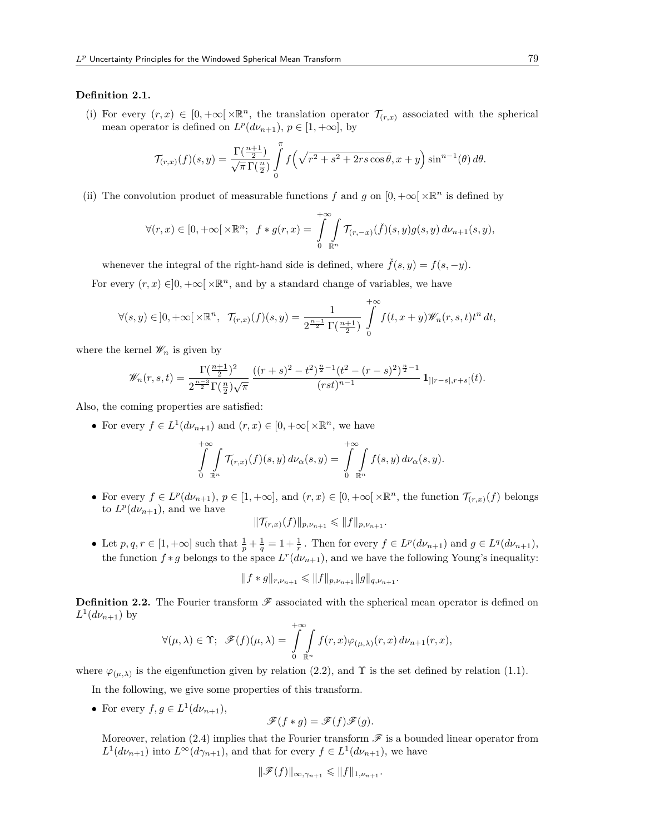#### **Definition 2.1.**

(i) For every  $(r, x) \in [0, +\infty[\times \mathbb{R}^n]$ , the translation operator  $\mathcal{T}_{(r,x)}$  associated with the spherical mean operator is defined on  $L^p(d\nu_{n+1}), p \in [1, +\infty]$ , by

$$
\mathcal{T}_{(r,x)}(f)(s,y) = \frac{\Gamma(\frac{n+1}{2})}{\sqrt{\pi} \Gamma(\frac{n}{2})} \int_{0}^{\pi} f\left(\sqrt{r^2 + s^2 + 2rs\cos\theta}, x+y\right) \sin^{n-1}(\theta) d\theta.
$$

(ii) The convolution product of measurable functions  $f$  and  $g$  on  $[0, +\infty[ \times \mathbb{R}^n]$  is defined by

$$
\forall (r,x)\in [0,+\infty[\times \mathbb{R}^n; \ f\ast g(r,x)=\int\limits_{0}^{+\infty}\int\limits_{\mathbb{R}^n}\mathcal{T}_{(r,-x)}(\check{f})(s,y)g(s,y)\,d\nu_{n+1}(s,y),
$$

whenever the integral of the right-hand side is defined, where  $\check{f}(s, y) = f(s, -y)$ .

For every  $(r, x) \in ]0, +\infty[ \times \mathbb{R}^n]$ , and by a standard change of variables, we have

$$
\forall (s,y) \in ]0,+\infty[\times \mathbb{R}^n, \ \ \mathcal{T}_{(r,x)}(f)(s,y) = \frac{1}{2^{\frac{n-1}{2}}\Gamma(\frac{n+1}{2})} \int_{0}^{+\infty} f(t,x+y) \mathscr{W}_n(r,s,t) t^n \, dt,
$$

where the kernel  $\mathscr{W}_n$  is given by

$$
\mathscr{W}_n(r,s,t)=\frac{\Gamma(\frac{n+1}{2})^2}{2^{\frac{n-3}{2}}\Gamma(\frac{n}{2})\sqrt{\pi}}\frac{((r+s)^2-t^2)^{\frac{n}{2}-1}(t^2-(r-s)^2)^{\frac{n}{2}-1}}{(rst)^{n-1}}\,\mathbf{1}_{] |r-s|,r+s[}(t).
$$

Also, the coming properties are satisfied:

• For every  $f \in L^1(d\nu_{n+1})$  and  $(r, x) \in [0, +\infty[\times \mathbb{R}^n]$ , we have

$$
\int_{0}^{+\infty}\int_{\mathbb{R}^n} \mathcal{T}_{(r,x)}(f)(s,y)\,d\nu_{\alpha}(s,y)=\int_{0}^{+\infty}\int_{\mathbb{R}^n} f(s,y)\,d\nu_{\alpha}(s,y).
$$

• For every  $f \in L^p(d\nu_{n+1}), p \in [1, +\infty]$ , and  $(r, x) \in [0, +\infty[ \times \mathbb{R}^n,$  the function  $\mathcal{T}_{(r,x)}(f)$  belongs to  $L^p(d\nu_{n+1})$ , and we have

$$
\|\mathcal{T}_{(r,x)}(f)\|_{p,\nu_{n+1}} \leqslant \|f\|_{p,\nu_{n+1}}.
$$

• Let  $p, q, r \in [1, +\infty]$  such that  $\frac{1}{p} + \frac{1}{q} = 1 + \frac{1}{r}$ . Then for every  $f \in L^p(d\nu_{n+1})$  and  $g \in L^q(d\nu_{n+1})$ , the function  $f * g$  belongs to the space  $L^r(d\nu_{n+1})$ , and we have the following Young's inequality:

$$
||f * g||_{r, \nu_{n+1}} \leq ||f||_{p, \nu_{n+1}} ||g||_{q, \nu_{n+1}}.
$$

**Definition 2.2.** The Fourier transform  $\mathscr F$  associated with the spherical mean operator is defined on  $L^1(d\nu_{n+1})$  by +*∞*

$$
\forall (\mu, \lambda) \in \Upsilon; \quad \mathscr{F}(f)(\mu, \lambda) = \int_{0}^{+\infty} \int_{\mathbb{R}^n} f(r, x) \varphi_{(\mu, \lambda)}(r, x) d\nu_{n+1}(r, x),
$$

where  $\varphi_{(\mu,\lambda)}$  is the eigenfunction given by relation (2.2), and  $\Upsilon$  is the set defined by relation (1.1).

In the following, we give some properties of this transform.

• For every  $f, g \in L^1(d\nu_{n+1}),$ 

$$
\mathscr{F}(f * g) = \mathscr{F}(f)\mathscr{F}(g).
$$

Moreover, relation  $(2.4)$  implies that the Fourier transform  $\mathscr F$  is a bounded linear operator from  $L^1(d\nu_{n+1})$  into  $L^\infty(d\gamma_{n+1})$ , and that for every  $f \in L^1(d\nu_{n+1})$ , we have

$$
\|\mathscr{F}(f)\|_{\infty,\gamma_{n+1}} \leqslant \|f\|_{1,\nu_{n+1}}.
$$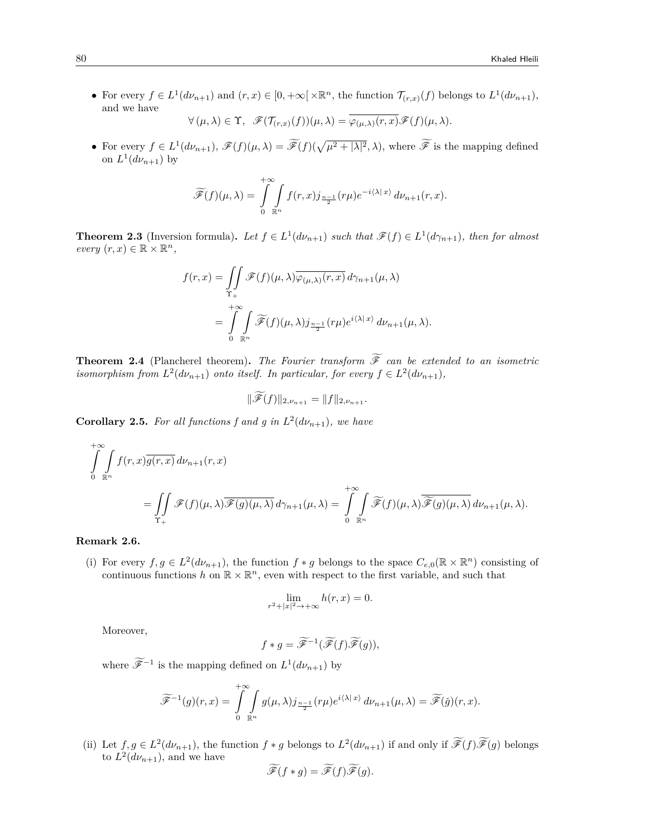• For every  $f \in L^1(d\nu_{n+1})$  and  $(r, x) \in [0, +\infty[\times \mathbb{R}^n,$  the function  $\mathcal{T}_{(r,x)}(f)$  belongs to  $L^1(d\nu_{n+1}),$ and we have

$$
\forall (\mu, \lambda) \in \Upsilon, \quad \mathscr{F}(\mathcal{T}_{(r,x)}(f))(\mu, \lambda) = \varphi_{(\mu, \lambda)}(r,x) \mathscr{F}(f)(\mu, \lambda).
$$

• For every  $f \in L^1(d\nu_{n+1}), \mathscr{F}(f)(\mu, \lambda) = \widetilde{\mathscr{F}}(f)(\sqrt{\mu^2 + |\lambda|^2}, \lambda)$ , where  $\widetilde{\mathscr{F}}$  is the mapping defined on  $L^1(d\nu_{n+1})$  by

$$
\widetilde{\mathscr{F}}(f)(\mu,\lambda) = \int\limits_{0}^{+\infty} \int\limits_{\mathbb{R}^n} f(r,x) j_{\frac{n-1}{2}}(r\mu) e^{-i\langle \lambda | x \rangle} d\nu_{n+1}(r,x).
$$

**Theorem 2.3** (Inversion formula). Let  $f \in L^1(d\nu_{n+1})$  such that  $\mathscr{F}(f) \in L^1(d\gamma_{n+1})$ , then for almost  $every (r, x) \in \mathbb{R} \times \mathbb{R}^n,$ 

$$
f(r,x) = \iint\limits_{\Upsilon_+} \mathscr{F}(f)(\mu,\lambda)\overline{\varphi_{(\mu,\lambda)}(r,x)} d\gamma_{n+1}(\mu,\lambda)
$$
  
= 
$$
\int\limits_{0}^{+\infty} \int\limits_{\mathbb{R}^n} \widetilde{\mathscr{F}}(f)(\mu,\lambda) j_{\frac{n-1}{2}}(r\mu) e^{i\langle\lambda|x\rangle} d\nu_{n+1}(\mu,\lambda).
$$

**Theorem 2.4** (Plancherel theorem). The Fourier transform  $\widetilde{\mathcal{F}}$  can be extended to an isometric *isomorphism from*  $L^2(d\nu_{n+1})$  *onto itself. In particular, for every*  $f \in L^2(d\nu_{n+1})$ *,* 

$$
\|\mathscr{F}(f)\|_{2,\nu_{n+1}}=\|f\|_{2,\nu_{n+1}}.
$$

**Corollary 2.5.** For all functions f and g in  $L^2(d\nu_{n+1})$ , we have

$$
\int_{0}^{+\infty} \int_{\mathbb{R}^{n}} f(r,x) \overline{g(r,x)} d\nu_{n+1}(r,x) \n= \iint_{\Upsilon_{+}} \mathscr{F}(f)(\mu,\lambda) \overline{\mathscr{F}(g)(\mu,\lambda)} d\gamma_{n+1}(\mu,\lambda) = \int_{0}^{+\infty} \int_{\mathbb{R}^{n}} \widetilde{\mathscr{F}}(f)(\mu,\lambda) \overline{\widetilde{\mathscr{F}}(g)(\mu,\lambda)} d\nu_{n+1}(\mu,\lambda).
$$

#### **Remark 2.6.**

(i) For every  $f, g \in L^2(d\nu_{n+1})$ , the function  $f * g$  belongs to the space  $C_{e,0}(\mathbb{R} \times \mathbb{R}^n)$  consisting of continuous functions  $h$  on  $\mathbb{R} \times \mathbb{R}^n$ , even with respect to the first variable, and such that

$$
\lim_{r^2+|x|^2\to+\infty} h(r,x) = 0.
$$

Moreover,

$$
f * g = \widetilde{\mathscr{F}}^{-1}(\widetilde{\mathscr{F}}(f)\widetilde{\mathscr{F}}(g)),
$$

where  $\mathscr{F}^{-1}$  is the mapping defined on  $L^1(d\nu_{n+1})$  by

$$
\widetilde{\mathscr{F}}^{-1}(g)(r,x)=\int\limits_{0}^{+\infty}\int\limits_{\mathbb{R}^n}g(\mu,\lambda)j_{\frac{n-1}{2}}(r\mu)e^{i\langle\lambda|x\rangle}d\nu_{n+1}(\mu,\lambda)=\widetilde{\mathscr{F}}(\check{g})(r,x).
$$

(ii) Let  $f, g \in L^2(d\nu_{n+1})$ , the function  $f * g$  belongs to  $L^2(d\nu_{n+1})$  if and only if  $\mathscr{F}(f)\mathscr{F}(g)$  belongs to  $L^2(d\nu_{n+1})$ , and we have

$$
\widetilde{\mathscr{F}}(f * g) = \widetilde{\mathscr{F}}(f)\widetilde{\mathscr{F}}(g).
$$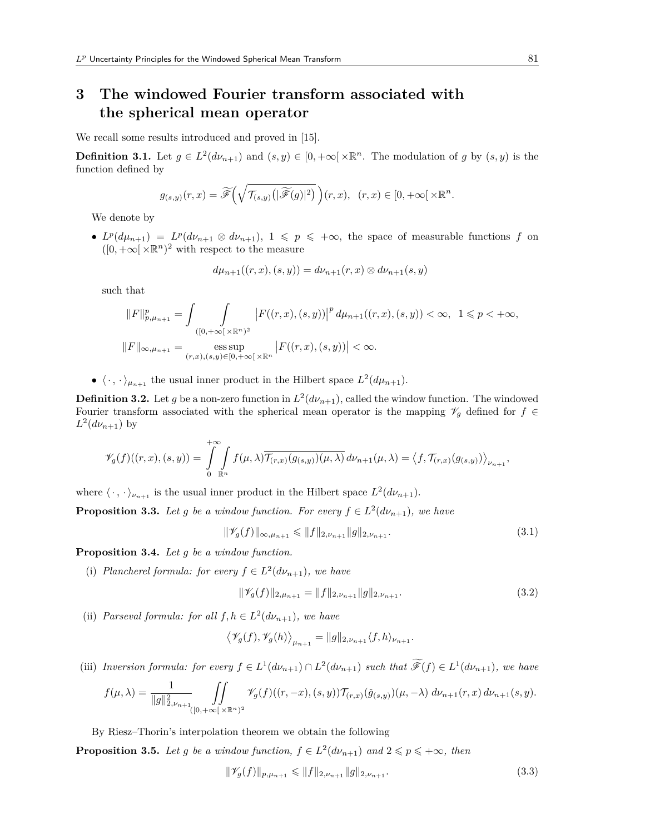## **3 The windowed Fourier transform associated with the spherical mean operator**

We recall some results introduced and proved in [15].

**Definition 3.1.** Let  $g \in L^2(d\nu_{n+1})$  and  $(s, y) \in [0, +\infty[\times \mathbb{R}^n]$ . The modulation of *g* by  $(s, y)$  is the function defined by

$$
g_{(s,y)}(r,x)=\widetilde{\mathscr{F}}\left(\sqrt{\mathcal{T}_{(s,y)}\big(|\widetilde{\mathscr{F}}(g)|^2\big)}\,\right)(r,x),\ (r,x)\in[0,+\infty[\times\mathbb{R}^n].
$$

We denote by

 $\bullet$  *L*<sup>*p*</sup>(*dμ*<sub>*n*+1</sub>) = *L*<sup>*p*</sup>(*dν*<sub>*n*+1</sub>), 1 ≤ *p* ≤ +∞, the space of measurable functions *f* on  $([0, +\infty[\times \mathbb{R}^n)^2$  with respect to the measure

$$
d\mu_{n+1}((r,x),(s,y)) = d\nu_{n+1}(r,x) \otimes d\nu_{n+1}(s,y)
$$

such that

$$
||F||_{p,\mu_{n+1}}^p = \int \int_{([0,+\infty[\times \mathbb{R}^n)^2} |F((r,x),(s,y))|^p d\mu_{n+1}((r,x),(s,y)) < \infty, \ 1 \le p < +\infty,
$$
  

$$
||F||_{\infty,\mu_{n+1}} = \underset{(r,x),(s,y) \in [0,+\infty[\times \mathbb{R}^n}{{\rm ess \, sup}} |F((r,x),(s,y))| < \infty.
$$

•  $\langle \cdot, \cdot \rangle_{\mu_{n+1}}$  the usual inner product in the Hilbert space  $L^2(d\mu_{n+1})$ .

**Definition 3.2.** Let *g* be a non-zero function in  $L^2(d\nu_{n+1})$ , called the window function. The windowed Fourier transform associated with the spherical mean operator is the mapping  $\mathcal{V}_q$  defined for  $f \in$  $L^2(d\nu_{n+1})$  by

$$
\mathscr{V}_g(f)((r,x),(s,y)) = \int\limits_0^{+\infty} \int\limits_{\mathbb{R}^n} f(\mu,\lambda) \overline{\mathcal{T}_{(r,x)}(g_{(s,y)})(\mu,\lambda)} d\nu_{n+1}(\mu,\lambda) = \langle f,\mathcal{T}_{(r,x)}(g_{(s,y)}) \rangle_{\nu_{n+1}},
$$

where  $\langle \cdot, \cdot \rangle_{\nu_{n+1}}$  is the usual inner product in the Hilbert space  $L^2(d\nu_{n+1})$ .

**Proposition 3.3.** *Let g be a window function. For every*  $f \in L^2(d\nu_{n+1})$ *, we have* 

$$
\|\mathscr{V}_g(f)\|_{\infty,\mu_{n+1}} \leq \|f\|_{2,\nu_{n+1}} \|g\|_{2,\nu_{n+1}}.\tag{3.1}
$$

**Proposition 3.4.** *Let g be a window function.*

(i) *Plancherel formula: for every*  $f \in L^2(d\nu_{n+1})$ *, we have* 

$$
\|\mathscr{V}_g(f)\|_{2,\mu_{n+1}} = \|f\|_{2,\nu_{n+1}} \|g\|_{2,\nu_{n+1}}.\tag{3.2}
$$

(ii) *Parseval formula: for all*  $f, h \in L^2(d\nu_{n+1})$ *, we have* 

$$
\left\langle \mathscr{V}_g(f), \mathscr{V}_g(h) \right\rangle_{\mu_{n+1}} = \|g\|_{2, \nu_{n+1}} \langle f, h \rangle_{\nu_{n+1}}.
$$

(iii) Inversion formula: for every  $f \in L^1(d\nu_{n+1}) \cap L^2(d\nu_{n+1})$  such that  $\widetilde{\mathscr{F}}(f) \in L^1(d\nu_{n+1})$ , we have

$$
f(\mu,\lambda)=\frac{1}{\|g\|_{2,\nu_{n+1}}^2}\iint\limits_{([0,+\infty[\,\times\mathbb{R}^n)^2}\varPsi_g(f)((r,-x),(s,y))\mathcal{T}_{(r,x)}(\check{g}_{(s,y)})(\mu,-\lambda)\ d\nu_{n+1}(r,x)\ d\nu_{n+1}(s,y).
$$

By Riesz–Thorin's interpolation theorem we obtain the following

**Proposition 3.5.** *Let g be a window function,*  $f \in L^2(d\nu_{n+1})$  *and*  $2 \leq p \leq +\infty$ *, then* 

$$
\|\mathscr{V}_g(f)\|_{p,\mu_{n+1}} \le \|f\|_{2,\nu_{n+1}} \|g\|_{2,\nu_{n+1}}.\tag{3.3}
$$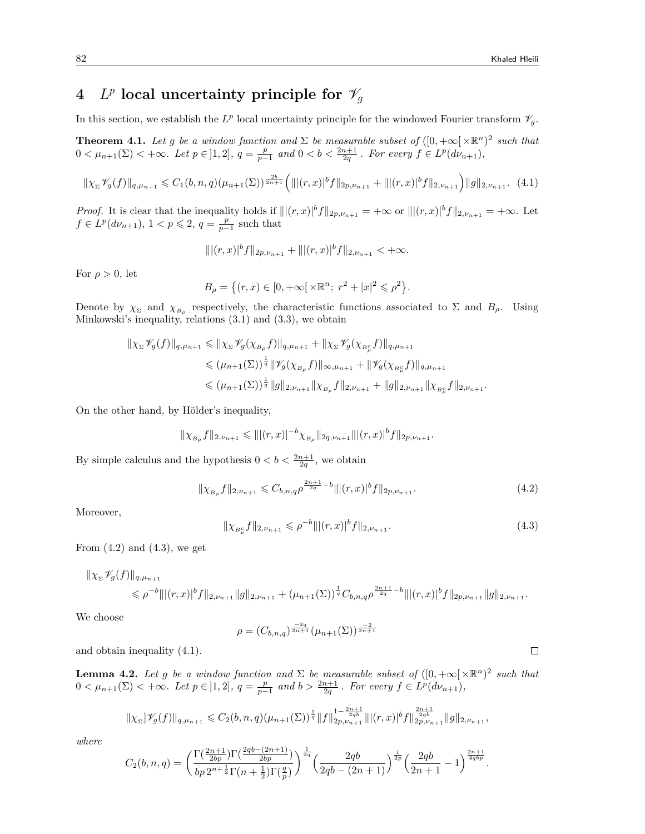# $4$  *L<sup>p</sup>* local uncertainty principle for  $\mathscr{V}_g$

In this section, we establish the  $L^p$  local uncertainty principle for the windowed Fourier transform  $\mathcal{V}_g$ .

**Theorem 4.1.** Let g be a window function and  $\Sigma$  be measurable subset of  $([0, +\infty[\times \mathbb{R}^n)^2$  such that  $0 < \mu_{n+1}(\Sigma) < +\infty$ . Let  $p \in ]1,2]$ ,  $q = \frac{p}{p-1}$  and  $0 < b < \frac{2n+1}{2q}$ . For every  $f \in L^p(d\nu_{n+1})$ ,

$$
\|\chi_{\Sigma}\mathscr{V}_{g}(f)\|_{q,\mu_{n+1}} \leq C_{1}(b,n,q)(\mu_{n+1}(\Sigma))^{\frac{2b}{2n+1}}\left(\| |(r,x)|^{b}f\|_{2p,\nu_{n+1}} + \| |(r,x)|^{b}f\|_{2,\nu_{n+1}}\right) \|g\|_{2,\nu_{n+1}}.\tag{4.1}
$$

*Proof.* It is clear that the inequality holds if  $||(r,x)|^b f||_{2p,\nu_{n+1}} = +\infty$  or  $||(r,x)|^b f||_{2,\nu_{n+1}} = +\infty$ . Let  $f \in L^p(d\nu_{n+1}), 1 < p \leq 2, q = \frac{p}{p-1}$  such that

$$
\| |(r,x)|^b f \|_{2p,\nu_{n+1}} + \| |(r,x)|^b f \|_{2,\nu_{n+1}} < +\infty.
$$

For  $\rho > 0$ , let

$$
B_{\rho} = \{(r, x) \in [0, +\infty[ \times \mathbb{R}^n; r^2 + |x|^2 \leq \rho^2 \}.
$$

Denote by  $\chi_{\Sigma}$  and  $\chi_{B_{\rho}}$  respectively, the characteristic functions associated to  $\Sigma$  and  $B_{\rho}$ . Using Minkowski's inequality, relations (3.1) and (3.3), we obtain

$$
\|\chi_{\Sigma}\mathscr{V}_{g}(f)\|_{q,\mu_{n+1}} \leq \|\chi_{\Sigma}\mathscr{V}_{g}(\chi_{B_{\rho}}f)\|_{q,\mu_{n+1}} + \|\chi_{\Sigma}\mathscr{V}_{g}(\chi_{B_{\rho}^{c}}f)\|_{q,\mu_{n+1}} \leq (\mu_{n+1}(\Sigma))^{\frac{1}{q}} \|\mathscr{V}_{g}(\chi_{B_{\rho}}f)\|_{\infty,\mu_{n+1}} + \|\mathscr{V}_{g}(\chi_{B_{\rho}^{c}}f)\|_{q,\mu_{n+1}} \leq (\mu_{n+1}(\Sigma))^{\frac{1}{q}} \|g\|_{2,\nu_{n+1}} \|\chi_{B_{\rho}}f\|_{2,\nu_{n+1}} + \|g\|_{2,\nu_{n+1}} \|\chi_{B_{\rho}^{c}}f\|_{2,\nu_{n+1}}.
$$

On the other hand, by Hölder's inequality,

$$
\|\chi_{B_{\rho}}f\|_{2,\nu_{n+1}} \leq \||(r,x)|^{-b}\chi_{B_{\rho}}\|_{2q,\nu_{n+1}}\||(r,x)|^{b}f\|_{2p,\nu_{n+1}}.
$$

By simple calculus and the hypothesis  $0 < b < \frac{2n+1}{2q}$ , we obtain

$$
\|\chi_{B_{\rho}}f\|_{2,\nu_{n+1}} \leq C_{b,n,q}\rho^{\frac{2n+1}{2q}-b} \|\|(r,x)\|^b f\|_{2p,\nu_{n+1}}.\tag{4.2}
$$

Moreover,

$$
\|\chi_{B_{\rho}^c}f\|_{2,\nu_{n+1}} \leqslant \rho^{-b} \||(r,x)|^b f\|_{2,\nu_{n+1}}.
$$
\n(4.3)

From  $(4.2)$  and  $(4.3)$ , we get

$$
\|\chi_{\Sigma}\mathscr{V}_{g}(f)\|_{q,\mu_{n+1}} \leq \rho^{-b} \|(r,x)|^{b}f\|_{2,\nu_{n+1}}\|g\|_{2,\nu_{n+1}}+(\mu_{n+1}(\Sigma))^{\frac{1}{q}}C_{b,n,q}\rho^{\frac{2n+1}{2q}-b}\||(r,x)|^{b}f\|_{2p,\nu_{n+1}}\|g\|_{2,\nu_{n+1}}.
$$

We choose

$$
\rho = (C_{b,n,q})^{\frac{-2q}{2n+1}} (\mu_{n+1}(\Sigma))^{\frac{-2}{2n+1}}
$$

and obtain inequality (4.1).

**Lemma 4.2.** *Let g be a window function and*  $\Sigma$  *be measurable subset of*  $([0, +\infty[\times \mathbb{R}^n)^2$  *such that*  $0 < \mu_{n+1}(\Sigma) < +\infty$ . Let  $p \in ]1,2]$ ,  $q = \frac{p}{p-1}$  and  $b > \frac{2n+1}{2q}$ . For every  $f \in L^p(d\nu_{n+1})$ ,

$$
\|\chi_{\Sigma}\psi_g(f)\|_{q,\mu_{n+1}}\leqslant C_2(b,n,q)(\mu_{n+1}(\Sigma))^{\frac{1}{q}}\|f\|_{2p,\nu_{n+1}}^{1-\frac{2n+1}{2q b}}\|(r,x)|^b f\|_{2p,\nu_{n+1}}^{\frac{2n+1}{2q b}}\|g\|_{2,\nu_{n+1}},
$$

*where*

$$
C_2(b,n,q) = \left(\frac{\Gamma(\frac{2n+1}{2bp})\Gamma(\frac{2qb-(2n+1)}{2bp})}{bp\,2^{n+\frac{1}{2}}\Gamma(n+\frac{1}{2})\Gamma(\frac{q}{p})}\right)^{\frac{1}{2q}} \left(\frac{2qb}{2qb-(2n+1)}\right)^{\frac{1}{2p}} \left(\frac{2qb}{2n+1}-1\right)^{\frac{2n+1}{4qbp}}.
$$

 $\Box$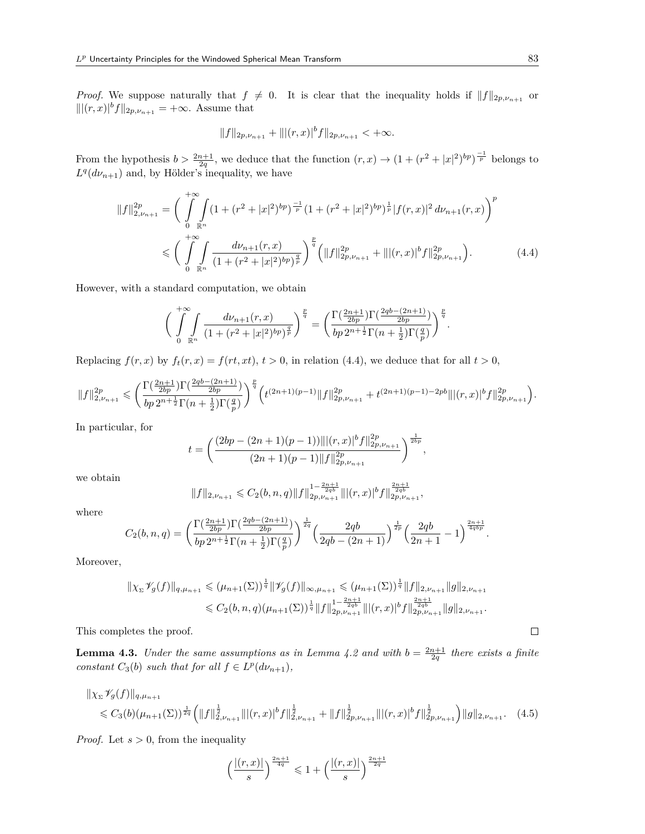*Proof.* We suppose naturally that  $f \neq 0$ . It is clear that the inequality holds if  $||f||_{2p,\nu_{n+1}}$  or  $|||(r, x)|^b f||_{2p, \nu_{n+1}}$  = +*∞*. Assume that

$$
||f||_{2p,\nu_{n+1}} + |||(r,x)|^b f||_{2p,\nu_{n+1}} < +\infty.
$$

From the hypothesis  $b > \frac{2n+1}{2q}$ , we deduce that the function  $(r, x) \rightarrow (1 + (r^2 + |x|^2)^{bp})^{\frac{-1}{p}}$  belongs to  $L^q(d\nu_{n+1})$  and, by Hölder's inequality, we have

$$
||f||_{2,\nu_{n+1}}^{2p} = \left(\int_{0}^{+\infty} \int_{\mathbb{R}^n} (1 + (r^2 + |x|^2)^{bp})^{\frac{-1}{p}} (1 + (r^2 + |x|^2)^{bp})^{\frac{1}{p}} |f(r,x)|^2 d\nu_{n+1}(r,x)\right)^p
$$
  

$$
\leq \left(\int_{0}^{+\infty} \int_{\mathbb{R}^n} \frac{d\nu_{n+1}(r,x)}{(1 + (r^2 + |x|^2)^{bp})^{\frac{q}{p}}}\right)^{\frac{p}{q}} \left(||f||_{2p,\nu_{n+1}}^{2p} + |||(r,x)|^b f||_{2p,\nu_{n+1}}^{2p}\right). \tag{4.4}
$$

However, with a standard computation, we obtain

$$
\bigg(\int_{0}^{+\infty} \int_{\mathbb{R}^n} \frac{d\nu_{n+1}(r,x)}{(1+(r^2+|x|^2)^{bp})^{\frac{q}{p}}}\bigg)^{\frac{p}{q}} = \bigg(\frac{\Gamma(\frac{2n+1}{2bp})\Gamma(\frac{2qb-(2n+1)}{2bp})}{bp\,2^{n+\frac{1}{2}}\Gamma(n+\frac{1}{2})\Gamma(\frac{q}{p})}\bigg)^{\frac{p}{q}}.
$$

Replacing  $f(r, x)$  by  $f_t(r, x) = f(rt, xt)$ ,  $t > 0$ , in relation (4.4), we deduce that for all  $t > 0$ ,

$$
\|f\|_{2,\nu_{n+1}}^{2p} \leqslant \bigg(\frac{\Gamma(\frac{2n+1}{2bp})\Gamma(\frac{2qb-(2n+1)}{2bp})}{bp\, 2^{n+\frac{1}{2}}\Gamma(n+\frac{1}{2})\Gamma(\frac{q}{p})}\bigg)^{\frac{p}{q}}\Big(t^{(2n+1)(p-1)}\|f\|_{2p,\nu_{n+1}}^{2p}+t^{(2n+1)(p-1)-2pb}\||(r,x)|^b f\|_{2p,\nu_{n+1}}^{2p}\Big).
$$

In particular, for

$$
t = \left(\frac{(2bp - (2n+1)(p-1))\| |(r,x)|^b f\|_{2p,\nu_{n+1}}^{2p}}{(2n+1)(p-1)\| f\|_{2p,\nu_{n+1}}^{2p}}\right)^{\frac{1}{2bp}},
$$

we obtain

$$
||f||_{2,\nu_{n+1}} \leqslant C_2(b,n,q)||f||_{2p,\nu_{n+1}}^{1-\frac{2n+1}{2qb}} |||(r,x)|^b f||_{2p,\nu_{n+1}}^{\frac{2n+1}{2qb}},
$$

where

$$
C_2(b,n,q) = \left(\frac{\Gamma(\frac{2n+1}{2bp})\Gamma(\frac{2qb-(2n+1)}{2bp})}{bp\,2^{n+\frac{1}{2}}\Gamma(n+\frac{1}{2})\Gamma(\frac{q}{p})}\right)^{\frac{1}{2q}} \left(\frac{2qb}{2qb-(2n+1)}\right)^{\frac{1}{2p}} \left(\frac{2qb}{2n+1}-1\right)^{\frac{2n+1}{4qbp}}.
$$

Moreover,

$$
\|\chi_{\Sigma}\mathcal{V}_g(f)\|_{q,\mu_{n+1}} \leq (\mu_{n+1}(\Sigma))^{\frac{1}{q}} \|\mathcal{V}_g(f)\|_{\infty,\mu_{n+1}} \leq (\mu_{n+1}(\Sigma))^{\frac{1}{q}} \|f\|_{2,\nu_{n+1}} \|g\|_{2,\nu_{n+1}} \leq C_2(b,n,q) (\mu_{n+1}(\Sigma))^{\frac{1}{q}} \|f\|_{2p,\nu_{n+1}}^{1-\frac{2n+1}{2q b}} \|(r,x)|^b f\|_{2p,\nu_{n+1}}^{\frac{2n+1}{2q b}} \|g\|_{2,\nu_{n+1}}.
$$

This completes the proof.

**Lemma 4.3.** *Under the same assumptions as in Lemma 4.2 and with*  $b = \frac{2n+1}{2q}$  *there exists a finite constant*  $C_3(b)$  *such that for all*  $f \in L^p(d\nu_{n+1})$ *,* 

$$
\|\chi_{\Sigma}\mathscr{V}_{g}(f)\|_{q,\mu_{n+1}} \leq C_{3}(b)(\mu_{n+1}(\Sigma))^{\frac{1}{2q}}\left(\|f\|_{2,\nu_{n+1}}^{\frac{1}{2}}\| |(r,x)|^{b}f\|_{2,\nu_{n+1}}^{\frac{1}{2}} + \|f\|_{2p,\nu_{n+1}}^{\frac{1}{2}}\| |(r,x)|^{b}f\|_{2p,\nu_{n+1}}^{\frac{1}{2}}\right)
$$
(4.5)

*Proof.* Let *s >* 0, from the inequality

$$
\left(\frac{|(r,x)|}{s}\right)^{\frac{2n+1}{4q}}\leqslant 1+\left(\frac{|(r,x)|}{s}\right)^{\frac{2n+1}{2q}}
$$

 $\Box$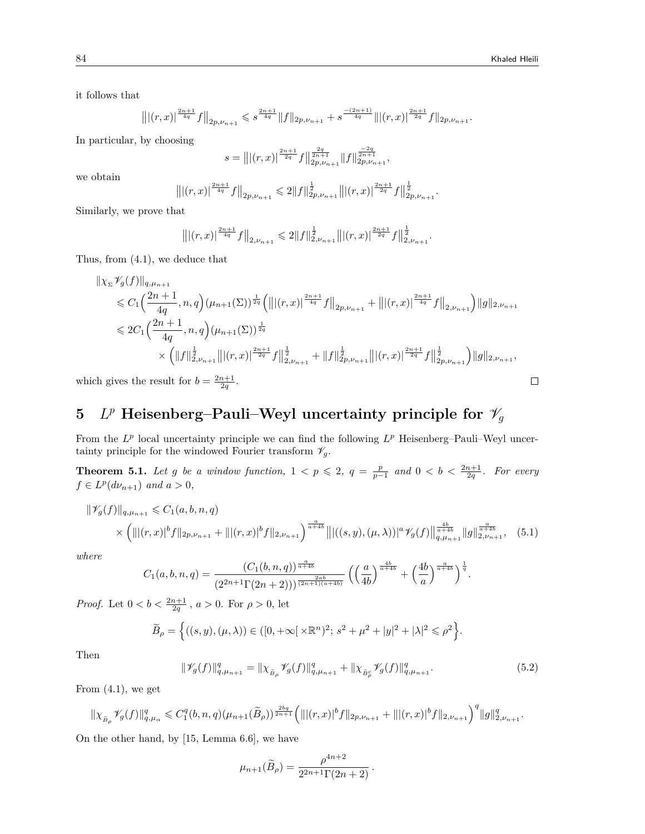$\Box$ 

it follows that

$$
\left\| \left|(r,x)\right|^{\frac{2n+1}{4q}} f\right\|_{2p,\nu_{n+1}}\leqslant s^{\frac{2n+1}{4q}} \|f\|_{2p,\nu_{n+1}}+s^{\frac{-(2n+1)}{4q}} \| \left|(r,x)\right|^{\frac{2n+1}{2q}} f\|_{2p,\nu_{n+1}}.
$$

In particular, by choosing

$$
s = \left\| \left| (r, x) \right|^{\frac{2n+1}{2q}} f \right\|_{2p, \nu_{n+1}}^{\frac{2q}{2n+1}} \| f \|_{2p, \nu_{n+1}}^{\frac{-2q}{2n+1}}
$$

*,*

we obtain

$$
\left\| \left|(r,x)\right|^{\frac{2n+1}{4q}} f\right\|_{2p,\nu_{n+1}} \leqslant 2\|f\|_{2p,\nu_{n+1}}^{\frac{1}{2}} \big\| \left|(r,x)\right|^{\frac{2n+1}{2q}} f\big\|_{2p,\nu_{n+1}}^{\frac{1}{2}}.
$$

Similarly, we prove that

$$
\left\| \left| (r,x) \right|^{\frac{2n+1}{4q}} f \right\|_{2,\nu_{n+1}} \leqslant 2 \| f \|_{2,\nu_{n+1}}^{\frac{1}{2}} \left\| \left| (r,x) \right|^{\frac{2n+1}{2q}} f \right\|_{2,\nu_{n+1}}^{\frac{1}{2}}.
$$

Thus, from (4.1), we deduce that

$$
\|\chi_{\Sigma}\mathcal{V}_{g}(f)\|_{q,\mu_{n+1}}\leq C_{1}\Big(\frac{2n+1}{4q},n,q\Big)(\mu_{n+1}(\Sigma))^{\frac{1}{2q}}\Big(\big\||(r,x)|^{\frac{2n+1}{4q}}f\big\|_{2p,\nu_{n+1}}+\big\||(r,x)|^{\frac{2n+1}{4q}}f\big\|_{2,\nu_{n+1}}\Big)\|g\|_{2,\nu_{n+1}}\Big)
$$
  

$$
\leq 2C_{1}\Big(\frac{2n+1}{4q},n,q\Big)(\mu_{n+1}(\Sigma))^{\frac{1}{2q}}\leq C_{1}\Big(\frac{2n+1}{4q},n,q\Big)(\mu_{n+1}(\Sigma))^{\frac{1}{2q}}\leq C_{1}\Big(\|f\|_{2,\nu_{n+1}}^{\frac{1}{2q}}\|f\|_{2,\nu_{n+1}}^{\frac{1}{2q}}+\|f\|_{2,\nu_{n+1}}^{\frac{1}{2q}}\|f\|_{2,\nu_{n+1}}^{\frac{1}{2q}}\Big)\|g\|_{2,\nu_{n+1}},
$$

which gives the result for  $b = \frac{2n+1}{2q}$ .

# $5$  *L*<sup>*p*</sup> Heisenberg–Pauli–Weyl uncertainty principle for  $\mathscr{V}_g$

From the  $L^p$  local uncertainty principle we can find the following  $L^p$  Heisenberg–Pauli–Weyl uncertainty principle for the windowed Fourier transform  $\mathscr{V}_g$ .

**Theorem 5.1.** Let g be a window function,  $1 < p \leq 2$ ,  $q = \frac{p}{p-1}$  and  $0 < b < \frac{2n+1}{2q}$ . For every  $f \in L^p(d\nu_{n+1})$  *and*  $a > 0$ *,* 

$$
\|\mathscr{V}_g(f)\|_{q,\mu_{n+1}} \leq C_1(a,b,n,q)
$$
  
 
$$
\times \left( \||(r,x)|^b f||_{2p,\nu_{n+1}} + |||(r,x)|^b f||_{2,\nu_{n+1}} \right)^{\frac{a}{a+4b}} \left\| |((s,y),(\mu,\lambda))|^{a} \mathscr{V}_g(f) \right\|_{q,\mu_{n+1}}^{\frac{ab}{a+4b}} \|g\|_{2,\nu_{n+1}}^{\frac{a}{a+4b}}, \quad (5.1)
$$

*where*

$$
C_1(a,b,n,q) = \frac{(C_1(b,n,q))^{\frac{a}{a+4b}}}{(2^{2n+1}\Gamma(2n+2)))^{\frac{2ab}{(2n+1)(a+4b)}}} \left( \left(\frac{a}{4b}\right)^{\frac{4b}{a+4b}} + \left(\frac{4b}{a}\right)^{\frac{a}{a+4b}} \right)^{\frac{1}{q}}.
$$

*Proof.* Let  $0 < b < \frac{2n+1}{2q}$ ,  $a > 0$ . For  $\rho > 0$ , let

$$
\widetilde{B}_{\rho} = \left\{ ((s, y), (\mu, \lambda)) \in ([0, +\infty[ \times \mathbb{R}^n)^2; s^2 + \mu^2 + |y|^2 + |\lambda|^2 \leq \rho^2 \right\}.
$$

Then

$$
\|\mathscr{V}_g(f)\|_{q,\mu_{n+1}}^q = \|\chi_{\tilde{B}_{\rho}}\mathscr{V}_g(f)\|_{q,\mu_{n+1}}^q + \|\chi_{\tilde{B}_{\rho}^c}\mathscr{V}_g(f)\|_{q,\mu_{n+1}}^q. \tag{5.2}
$$

From  $(4.1)$ , we get

$$
\|\chi_{\tilde{B}_{\rho}}\mathscr V_g(f)\|_{q,\mu_\alpha}^q\leqslant C_1^q(b,n,q)(\mu_{n+1}(\widetilde{B}_{\rho}))^{\frac{2bq}{2n+1}}\Big(\| |(r,x)|^b f\|_{2p,\nu_{n+1}}+\| |(r,x)|^b f\|_{2,\nu_{n+1}}\Big)^q\|g\|_{2,\nu_{n+1}}^q.
$$

On the other hand, by [15, Lemma 6.6], we have

$$
\mu_{n+1}(\widetilde{B}_{\rho}) = \frac{\rho^{4n+2}}{2^{2n+1}\Gamma(2n+2)}.
$$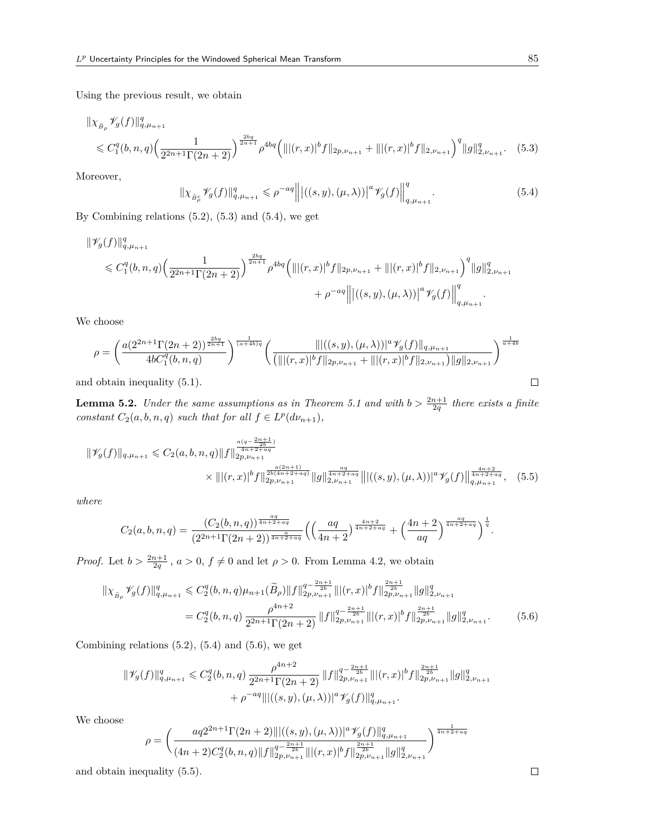Using the previous result, we obtain

$$
\|\chi_{\tilde{B}_{\rho}}\mathscr{V}_{g}(f)\|_{q,\mu_{n+1}}^{q}
$$
  
\$\leq C\_{1}^{q}(b,n,q)\left(\frac{1}{2^{2n+1}\Gamma(2n+2)}\right)^{\frac{2bq}{2n+1}}\rho^{4bq}\left(\| |(r,x)|^{b}f\|\_{2p,\nu\_{n+1}} + \| |(r,x)|^{b}f\|\_{2,\nu\_{n+1}}\right)^{q}\|g\|\_{2,\nu\_{n+1}}^{q}.\tag{5.3}

Moreover,

$$
\|\chi_{\widetilde{B}_{\rho}^c}\mathscr{V}_g(f)\|_{q,\mu_{n+1}}^q \leqslant \rho^{-aq} \left\| \left| ((s,y),(\mu,\lambda)) \right|^a \mathscr{V}_g(f) \right\|_{q,\mu_{n+1}}^q. \tag{5.4}
$$

By Combining relations  $(5.2)$ ,  $(5.3)$  and  $(5.4)$ , we get

$$
\begin{aligned} \|\mathscr{V}_{g}(f)\|_{q,\mu_{n+1}}^{q} & \qquad \leqslant C_{1}^{q}(b,n,q)\Big(\frac{1}{2^{2n+1}\Gamma(2n+2)}\Big)^{\frac{2bq}{2n+1}}\rho^{4bq}\Big(\| |(r,x)|^b f\|_{2p,\nu_{n+1}} + \| |(r,x)|^b f\|_{2,\nu_{n+1}} \Big)^{q} \|g\|_{2,\nu_{n+1}}^{q} \\ & \qquad \qquad + \rho^{-aq}\Big\| \big| \big((s,y),(\mu,\lambda)\big)\big|^a\mathscr{V}_{g}(f)\Big\|_{q,\mu_{n+1}}^{q}. \end{aligned}
$$

We choose

$$
\rho = \left(\frac{a(2^{2n+1}\Gamma(2n+2))^\frac{2bq}{2n+1}}{4bC_1^q(b,n,q)}\right)^{\frac{1}{(a+4b)q}} \left(\frac{\| |((s,y),(\mu,\lambda))|^{a} \mathcal{V}_g(f) \|_{q,\mu_{n+1}}}{\left(\| |(r,x)|^b f \|_{2p,\nu_{n+1}} + \| |(r,x)|^b f \|_{2,\nu_{n+1}}\right) \|g\|_{2,\nu_{n+1}}}\right)^{\frac{1}{a+4b}}
$$
\nobtain inequality (5.1).

and obtain inequality (5.1).

**Lemma 5.2.** *Under the same assumptions as in Theorem 5.1 and with*  $b > \frac{2n+1}{2q}$  *there exists a finite constant*  $C_2(a, b, n, q)$  *such that for all*  $f \in L^p(d\nu_{n+1}),$ 

$$
\|\mathscr{V}_{g}(f)\|_{q,\mu_{n+1}} \leq C_{2}(a,b,n,q)\|f\|_{2p,\nu_{n+1}}^{\frac{a(q-2n+1)}{4n+2+aq}} \times \|\|(r,x)\|_{2p,\nu_{n+1}}^{\frac{a(2n+1)}{4n+2+aq}}\|g\|_{2,\nu_{n+1}}^{\frac{aq}{4n+2+aq}}\|\|((s,y),(\mu,\lambda))\|_{q,\mu_{n+1}}^{\frac{4n+2}{4n+2+aq}}, \quad (5.5)
$$

*where*

$$
C_2(a,b,n,q) = \frac{(C_2(b,n,q))^{\frac{aq}{4n+2+aq}}}{(2^{2n+1}\Gamma(2n+2))^{\frac{a}{4n+2+aq}}} \Big(\Big(\frac{aq}{4n+2}\Big)^{\frac{4n+2}{4n+2+aq}} + \Big(\frac{4n+2}{aq}\Big)^{\frac{aq}{4n+2+aq}}\Big)^{\frac{1}{q}}.
$$

*Proof.* Let  $b > \frac{2n+1}{2q}$ ,  $a > 0$ ,  $f \neq 0$  and let  $\rho > 0$ . From Lemma 4.2, we obtain

$$
\|\chi_{\tilde{B}_{\rho}}\mathscr{V}_{g}(f)\|_{q,\mu_{n+1}}^{q} \leq C_{2}^{q}(b,n,q)\mu_{n+1}(\tilde{B}_{\rho})\|f\|_{2p,\nu_{n+1}}^{q-\frac{2n+1}{2b}}\| |(r,x)|^{b}f\|_{2p,\nu_{n+1}}^{\frac{2n+1}{2b}}\|g\|_{2,\nu_{n+1}}^{q}
$$
  

$$
=C_{2}^{q}(b,n,q)\frac{\rho^{4n+2}}{2^{2n+1}\Gamma(2n+2)}\|f\|_{2p,\nu_{n+1}}^{q-\frac{2n+1}{2b}}\| |(r,x)|^{b}f\|_{2p,\nu_{n+1}}^{\frac{2n+1}{2b}}\|g\|_{2,\nu_{n+1}}^{q}.
$$
 (5.6)

Combining relations  $(5.2)$ ,  $(5.4)$  and  $(5.6)$ , we get

$$
\|\mathscr{V}_g(f)\|_{q,\mu_{n+1}}^q \leq C_2^q(b,n,q) \frac{\rho^{4n+2}}{2^{2n+1}\Gamma(2n+2)} \|f\|_{2p,\nu_{n+1}}^{q-\frac{2n+1}{2b}} \|(r,x)|^b f\|_{2p,\nu_{n+1}}^{\frac{2n+1}{2b}} \|g\|_{2,\nu_{n+1}}^q
$$
  
+  $\rho^{-aq} \| |((s,y),(\mu,\lambda))|^{a} \mathscr{V}_g(f)\|_{q,\mu_{n+1}}^q.$ 

We choose

$$
\rho = \left(\frac{aq2^{2n+1}\Gamma(2n+2)\| |((s,y),(\mu,\lambda))|^a\mathcal{V}_g(f)\|_{q,\mu_{n+1}}^q}{(4n+2)C_2^q(b,n,q)\|f\|_{2p,\nu_{n+1}}^{q-\frac{2n+1}{2b}}\| |(r,x)|^b f\|_{2p,\nu_{n+1}}^{\frac{2n+1}{2b}}\|g\|_{2,\nu_{n+1}}^q}\right)^{\frac{1}{4n+2+aq}}
$$

and obtain inequality (5.5).

 $\Box$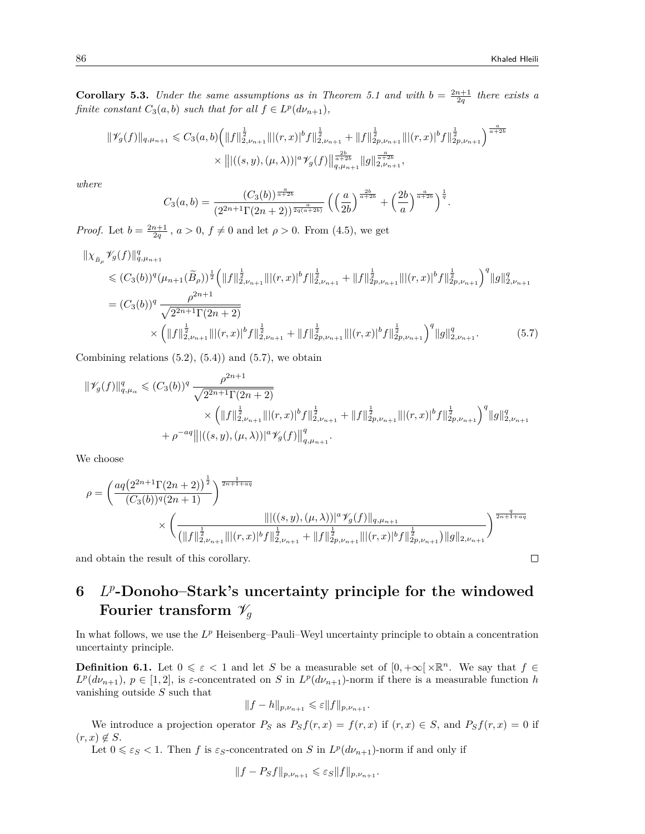$\Box$ 

**Corollary 5.3.** *Under the same assumptions as in Theorem 5.1 and with*  $b = \frac{2n+1}{2q}$  *there exists a finite constant*  $C_3(a, b)$  *such that for all*  $f \in L^p(d\nu_{n+1}),$ 

$$
\begin{split} \|\mathscr{V}_{g}(f)\|_{q,\mu_{n+1}} &\leqslant C_{3}(a,b)\Big(\|f\|_{2,\nu_{n+1}}^{\frac{1}{2}}\| |(r,x)|^b f\|_{2,\nu_{n+1}}^{\frac{1}{2}}+\|f\|_{2p,\nu_{n+1}}^{\frac{1}{2}}\| |(r,x)|^b f\|_{2p,\nu_{n+1}}^{\frac{1}{2}}\Big)^\frac{2b}{a+2b}\\ &\times\left\| |((s,y),(\mu,\lambda))|^a\mathscr{V}_{g}(f)\right\|_{q,\mu_{n+1}}^{\frac{2b}{a+2b}}\|g\|_{2,\nu_{n+1}}^{\frac{a}{a+2b}}, \end{split}
$$

*where*

$$
C_3(a,b) = \frac{(C_3(b))^{\frac{a}{a+2b}}}{(2^{2n+1}\Gamma(2n+2))^{\frac{a}{2q(a+2b)}}} \left( \left(\frac{a}{2b}\right)^{\frac{2b}{a+2b}} + \left(\frac{2b}{a}\right)^{\frac{a}{a+2b}} \right)^{\frac{1}{q}}.
$$

*Proof.* Let  $b = \frac{2n+1}{2q}$ ,  $a > 0$ ,  $f \neq 0$  and let  $\rho > 0$ . From (4.5), we get

$$
\|\chi_{\tilde{B}_{\rho}}\mathscr{V}_{g}(f)\|_{q,\mu_{n+1}}^{q} \leq (C_{3}(b))^{q}(\mu_{n+1}(\tilde{B}_{\rho}))^{\frac{1}{2}}\left(\|f\|_{2,\nu_{n+1}}^{\frac{1}{2}}\| |(r,x)|^{b}f\|_{2,\nu_{n+1}}^{\frac{1}{2}} + \|f\|_{2p,\nu_{n+1}}^{\frac{1}{2}}\| |(r,x)|^{b}f\|_{2p,\nu_{n+1}}^{\frac{1}{2}}\right)^{q} \|g\|_{2,\nu_{n+1}}^{q}
$$
  
\n
$$
= (C_{3}(b))^{q} \frac{\rho^{2n+1}}{\sqrt{2^{2n+1}\Gamma(2n+2)}} \times (\|f\|_{2,\nu_{n+1}}^{\frac{1}{2}}\| |(r,x)|^{b}f\|_{2p,\nu_{n+1}}^{\frac{1}{2}} + \|f\|_{2p,\nu_{n+1}}^{\frac{1}{2}}\| |(r,x)|^{b}f\|_{2p,\nu_{n+1}}^{\frac{1}{2}}\right)^{q} \|g\|_{2,\nu_{n+1}}^{q}.
$$
 (5.7)

Combining relations  $(5.2)$ ,  $(5.4)$  and  $(5.7)$ , we obtain

$$
\begin{split} \|\mathscr{V}_{g}(f)\|_{q,\mu_{\alpha}}^{q} &\leq (C_{3}(b))^{q} \frac{\rho^{2n+1}}{\sqrt{2^{2n+1}\Gamma(2n+2)}}\\ &\times \left(\|f\|_{2,\nu_{n+1}}^{\frac{1}{2}}\| |(r,x)|^{b}f\|_{2,\nu_{n+1}}^{\frac{1}{2}}+ \|f\|_{2p,\nu_{n+1}}^{\frac{1}{2}}\| |(r,x)|^{b}f\|_{2p,\nu_{n+1}}^{\frac{1}{2}}\right)^{q}\|g\|_{2,\nu_{n+1}}^{q}\\ &+ \rho^{-aq} \left\| |((s,y),(\mu,\lambda))|^{a}\mathscr{V}_{g}(f)\right\|_{q,\mu_{n+1}}^{q}. \end{split}
$$

We choose

$$
\rho = \left(\frac{aq\left(2^{2n+1}\Gamma(2n+2)\right)^{\frac{1}{2}}}{(C_3(b))^q(2n+1)}\right)^{\frac{1}{2n+1+aq}} \times \left(\frac{\|((s,y),(\mu,\lambda))|^{a}\mathscr{V}_{g}(f)\|_{q,\mu_{n+1}}}{\left(\|f\|_{2,\nu_{n+1}}^{\frac{1}{2}}\| |((r,x)|^b f\|_{2,\nu_{n+1}}^{\frac{1}{2}} + \|f\|_{2p,\nu_{n+1}}^{\frac{1}{2}}\| |((r,x)|^b f\|_{2p,\nu_{n+1}}^{\frac{1}{2}})\right)^{\frac{q}{2n+1+aq}}
$$

and obtain the result of this corollary.

# **6** *L p* **-Donoho–Stark's uncertainty principle for the windowed Fourier transform**  $\mathcal{V}_q$

In what follows, we use the L<sup>p</sup> Heisenberg–Pauli–Weyl uncertainty principle to obtain a concentration uncertainty principle.

**Definition 6.1.** Let  $0 \le \varepsilon < 1$  and let *S* be a measurable set of  $[0, +\infty[\times \mathbb{R}^n]$ . We say that  $f \in$  $L^p(d\nu_{n+1}), p \in [1,2],$  is *ε*-concentrated on *S* in  $L^p(d\nu_{n+1})$ -norm if there is a measurable function *h* vanishing outside *S* such that

$$
||f - h||_{p, \nu_{n+1}} \leqslant \varepsilon ||f||_{p, \nu_{n+1}}.
$$

We introduce a projection operator  $P_S$  as  $P_S f(r, x) = f(r, x)$  if  $(r, x) \in S$ , and  $P_S f(r, x) = 0$  if  $(r, x) \notin S$ .

Let  $0 \le \varepsilon_S < 1$ . Then *f* is  $\varepsilon_S$ -concentrated on *S* in  $L^p(d\nu_{n+1})$ -norm if and only if

$$
||f - P_Sf||_{p, \nu_{n+1}} \leqslant \varepsilon_S ||f||_{p, \nu_{n+1}}.
$$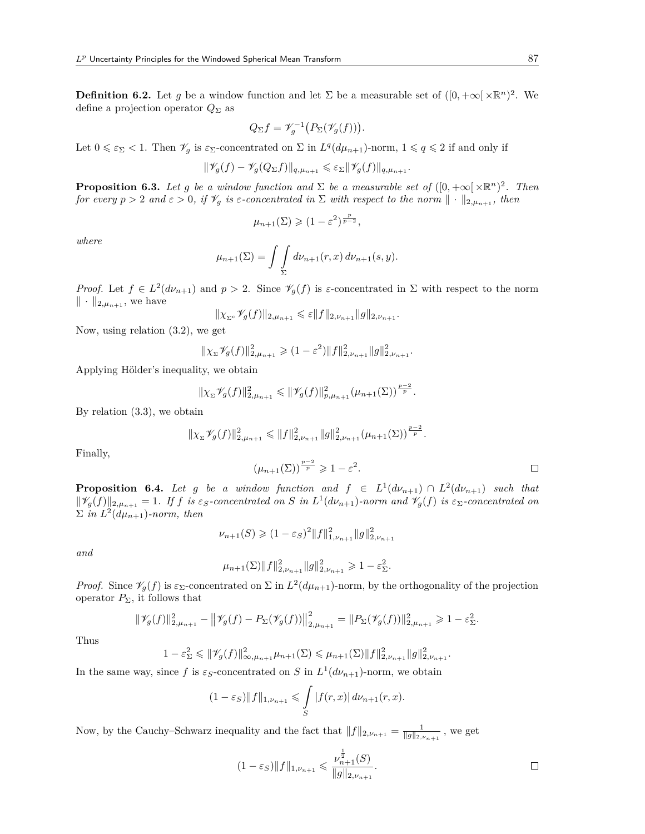**Definition 6.2.** Let *g* be a window function and let  $\Sigma$  be a measurable set of  $([0, +\infty[\times \mathbb{R}^n)^2]$ . We define a projection operator  $Q_{\Sigma}$  as

$$
Q_{\Sigma}f = \mathscr{V}_g^{-1}\big(P_{\Sigma}(\mathscr{V}_g(f))\big).
$$

Let  $0 \le \varepsilon_{\Sigma} < 1$ . Then  $\mathscr{V}_g$  is  $\varepsilon_{\Sigma}$ -concentrated on  $\Sigma$  in  $L^q(d\mu_{n+1})$ -norm,  $1 \le q \le 2$  if and only if

$$
\|\mathscr{V}_g(f) - \mathscr{V}_g(Q_\Sigma f)\|_{q,\mu_{n+1}} \leq \varepsilon_\Sigma \|\mathscr{V}_g(f)\|_{q,\mu_{n+1}}.
$$

**Proposition 6.3.** *Let g be a window function and*  $\Sigma$  *be a measurable set of*  $([0, +\infty[\times \mathbb{R}^n)^2]$ . *Then for every*  $p > 2$  *and*  $\varepsilon > 0$ *, if*  $\mathcal{V}_g$  *is*  $\varepsilon$ -concentrated in  $\Sigma$  *with respect to the norm*  $\|\cdot\|_{2,\mu_{n+1}}$ *, then* 

$$
\mu_{n+1}(\Sigma) \geqslant (1-\varepsilon^2)^{\frac{p}{p-2}},
$$

*where*

$$
\mu_{n+1}(\Sigma) = \int \int \int_{\Sigma} d\nu_{n+1}(r, x) \, d\nu_{n+1}(s, y).
$$

*Proof.* Let  $f \in L^2(d\nu_{n+1})$  and  $p > 2$ . Since  $\mathscr{V}_g(f)$  is *ε*-concentrated in  $\Sigma$  with respect to the norm *∥ · ∥*2*,µn*+1 , we have

$$
\|\chi_{\Sigma^c}\mathscr{V}_g(f)\|_{2,\mu_{n+1}} \leqslant \varepsilon \|f\|_{2,\nu_{n+1}} \|g\|_{2,\nu_{n+1}}.
$$

Now, using relation (3.2), we get

$$
\|\chi_{\Sigma}\mathscr{V}_g(f)\|_{2,\mu_{n+1}}^2 \geq (1-\varepsilon^2)\|f\|_{2,\nu_{n+1}}^2\|g\|_{2,\nu_{n+1}}^2.
$$

Applying Hölder's inequality, we obtain

$$
\|\chi_{\Sigma}\mathscr{V}_g(f)\|_{2,\mu_{n+1}}^2 \leqslant \|\mathscr{V}_g(f)\|_{p,\mu_{n+1}}^2(\mu_{n+1}(\Sigma))^{\frac{p-2}{p}}.
$$

By relation (3.3), we obtain

$$
\|\chi_{\Sigma}\mathscr{V}_g(f)\|_{2,\mu_{n+1}}^2 \leqslant \|f\|_{2,\nu_{n+1}}^2 \|g\|_{2,\nu_{n+1}}^2 (\mu_{n+1}(\Sigma))^{\frac{p-2}{p}}.
$$

Finally,

$$
(\mu_{n+1}(\Sigma))^{\frac{p-2}{p}} \geq 1 - \varepsilon^2.
$$

**Proposition 6.4.** *Let g be a window function and*  $f \in L^1(d\nu_{n+1}) \cap L^2(d\nu_{n+1})$  *such that*  $\|\mathscr{V}_g(f)\|_{2,\mu_{n+1}}=1$ . If f is  $\varepsilon_S$ -concentrated on S in  $L^1(d\nu_{n+1})$ -norm and  $\mathscr{V}_g(f)$  is  $\varepsilon_{\Sigma}$ -concentrated on  $\sum$  *in*  $L^2(d\mu_{n+1})$ *-norm, then* 

$$
\nu_{n+1}(S) \geq (1 - \varepsilon_S)^2 \|f\|_{1, \nu_{n+1}}^2 \|g\|_{2, \nu_{n+1}}^2
$$

*and*

$$
\mu_{n+1}(\Sigma) \|f\|_{2,\nu_{n+1}}^2 \|g\|_{2,\nu_{n+1}}^2 \geq 1-\varepsilon_{\Sigma}^2.
$$

*Proof.* Since  $\mathscr{V}_g(f)$  is  $\varepsilon_{\Sigma}$ -concentrated on  $\Sigma$  in  $L^2(d\mu_{n+1})$ -norm, by the orthogonality of the projection operator *P*Σ, it follows that

$$
\|\mathscr{V}_g(f)\|_{2,\mu_{n+1}}^2 - \left\|\mathscr{V}_g(f) - P_{\Sigma}(\mathscr{V}_g(f))\right\|_{2,\mu_{n+1}}^2 = \|P_{\Sigma}(\mathscr{V}_g(f))\|_{2,\mu_{n+1}}^2 \geq 1 - \varepsilon_{\Sigma}^2.
$$

Thus

$$
1 - \varepsilon_{\Sigma}^2 \leq \|\mathscr{V}_g(f)\|_{\infty,\mu_{n+1}}^2 \mu_{n+1}(\Sigma) \leq \mu_{n+1}(\Sigma) \|f\|_{2,\nu_{n+1}}^2 \|g\|_{2,\nu_{n+1}}^2.
$$

In the same way, since f is  $\varepsilon_S$ -concentrated on S in  $L^1(d\nu_{n+1})$ -norm, we obtain

$$
(1 - \varepsilon_S) \|f\|_{1, \nu_{n+1}} \leq \int_S |f(r, x)| d\nu_{n+1}(r, x).
$$

Now, by the Cauchy–Schwarz inequality and the fact that  $||f||_{2,\nu_{n+1}} = \frac{1}{||g||_{2,\nu_{n+1}}},$  we get

$$
(1 - \varepsilon_S) \|f\|_{1, \nu_{n+1}} \leqslant \frac{\nu_{n+1}^{\frac{1}{2}}(S)}{\|g\|_{2, \nu_{n+1}}}.
$$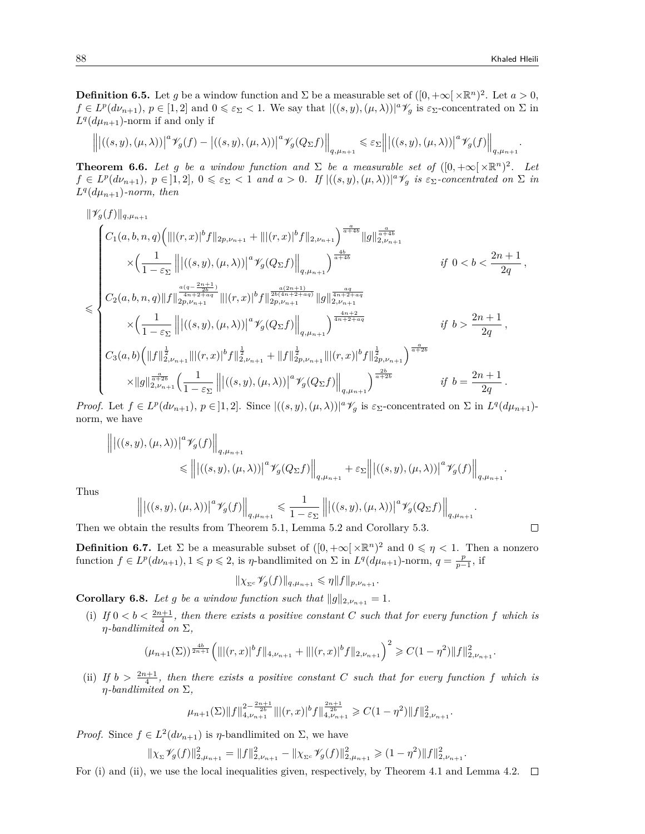*.*

*.*

 $\Box$ 

**Definition 6.5.** Let *g* be a window function and  $\Sigma$  be a measurable set of  $([0, +\infty[\times \mathbb{R}^n)^2]$ . Let  $a > 0$ ,  $f\in L^p(d\nu_{n+1}), p\in [1,2]$  and  $0\leq \varepsilon_{\Sigma} < 1$ . We say that  $|((s,y),(\mu,\lambda))|^a\mathscr{V}_g$  is  $\varepsilon_{\Sigma}$ -concentrated on  $\Sigma$  in  $L^q(d\mu_{n+1})$ -norm if and only if

$$
\left\| \left| ((s,y),(\mu,\lambda))\right|^{a} \mathscr{V}_{g}(f) - \left| ((s,y),(\mu,\lambda))\right|^{a} \mathscr{V}_{g}(Q_{\Sigma}f) \right\|_{q,\mu_{n+1}} \leq \varepsilon_{\Sigma} \left\| \left| ((s,y),(\mu,\lambda))\right|^{a} \mathscr{V}_{g}(f) \right\|_{q,\mu_{n+1}}
$$

**Theorem 6.6.** *Let g be a window function and*  $\Sigma$  *be a measurable set of*  $([0, +\infty[\times \mathbb{R}^n)^2]$ . Let  $f\in L^p(d\nu_{n+1}), p\in ]1,2], 0\leq \varepsilon_{\Sigma} < 1$  and  $a>0$ . If  $|((s,y),(\mu,\lambda))|^a\mathscr{V}_g$  is  $\varepsilon_{\Sigma}$ -concentrated on  $\Sigma$  in  $L^q(d\mu_{n+1})$ *-norm, then* 

$$
\label{eq:3.10} \begin{split} &\|\mathscr{V}_{g}(f)\|_{q,\mu_{n+1}}\\ &\times \Big(\frac{1}{1-\varepsilon_{\Sigma}}\left\||\big((s,y),(\mu,\lambda)\big|^{a}\mathscr{V}_{g}(Q_{\Sigma}f)\right\|_{q,\mu_{n+1}}\Big)^{\frac{a}{a+4b}}\|g\|_{2,\nu_{n+1}}^{\frac{a}{a+4b}}\\ &\times \Big(\frac{1}{1-\varepsilon_{\Sigma}}\left\||\big((s,y),(\mu,\lambda)\big|^{a}\mathscr{V}_{g}(Q_{\Sigma}f)\right\|_{q,\mu_{n+1}}\Big)^{\frac{4b}{a+4b}}\qquad \qquad \text{if}\ \ 0\frac{2n+1}{2q}\,,\\ &\lesssim 2a+1\\ C_{3}(a,b)\Big(\|f\|_{2,\nu_{n+1}}^{\frac{1}{2}}\||(r,x)|^{b}f\|_{2,\nu_{n+1}}^{\frac{1}{2}}+\|f\|_{2p,\nu_{n+1}}^{\frac{1}{2}}\|||(r,x)|^{b}f\|_{2p,\nu_{n+1}}^{\frac{1}{2}}\Big)^\frac{a}{a+2b}\qquad \qquad \text{if}\ \ b>\frac{2n+1}{2q}\,,\\ &\times\|g\|_{2,\nu_{n+1}}^{\frac{a}{a+2b}}\Big(\frac{1}{1-\varepsilon_{\Sigma}}\left\||\big((s,y),(\mu,\lambda)\big)|^{a}\mathscr{V}_{g}(Q_{\Sigma}f)\right\|_{q,\mu_{n+1}}\Big)^\frac{2b}{a+2b}\qquad \qquad \text{if}\ \ b=\
$$

*Proof.* Let  $f \in L^p(d\nu_{n+1}), p \in ]1,2]$ . Since  $|((s,y), (\mu,\lambda))|^{a}\mathscr{V}_g$  is  $\varepsilon_{\Sigma}$ -concentrated on  $\Sigma$  in  $L^q(d\mu_{n+1})$ norm, we have

$$
\label{eq:21} \begin{split} \Big\| \big| \big((s,y),(\mu,\lambda)\big)\big|^a \mathscr{V}_g(f) \Big\|_{q,\mu_{n+1}} \\ &\leqslant \Big\| \big| \big((s,y),(\mu,\lambda)\big)\big|^a \mathscr{V}_g(Q_\Sigma f) \Big\|_{q,\mu_{n+1}} + \varepsilon_\Sigma \Big\| \big| \big((s,y),(\mu,\lambda)\big)\big|^a \mathscr{V}_g(f) \Big\|_{q,\mu_{n+1}}. \end{split}
$$

Thus

$$
\left\| \left| ((s,y),(\mu,\lambda)) \right|^a \mathcal{V}_g(f) \right\|_{q,\mu_{n+1}} \leq \frac{1}{1-\varepsilon_\Sigma} \left\| \left| ((s,y),(\mu,\lambda)) \right|^a \mathcal{V}_g(Q_\Sigma f) \right\|_{q,\mu_{n+1}}
$$

Then we obtain the results from Theorem 5.1, Lemma 5.2 and Corollary 5.3.

**Definition 6.7.** Let  $\Sigma$  be a measurable subset of  $([0, +\infty[\times \mathbb{R}^n)^2$  and  $0 \le \eta < 1$ . Then a nonzero function  $f \in L^p(d\nu_{n+1}), 1 \leq p \leq 2$ , is *η*-bandlimited on  $\Sigma$  in  $L^q(d\mu_{n+1})$ -norm,  $q = \frac{p}{p-1}$ , if

$$
\|\chi_{\Sigma^c} \mathscr{V}_g(f)\|_{q,\mu_{n+1}} \leqslant \eta \|f\|_{p,\nu_{n+1}}.
$$

**Corollary 6.8.** *Let g be a window function such that*  $||g||_{2,\nu_{n+1}} = 1$ *.* 

(i) If  $0 < b < \frac{2n+1}{4}$ , then there exists a positive constant C such that for every function f which is *η-bandlimited on* Σ*,*

$$
(\mu_{n+1}(\Sigma))^{\frac{4b}{2n+1}} \left( \||(r,x)|^b f\|_{4,\nu_{n+1}} + |||(r,x)|^b f\|_{2,\nu_{n+1}} \right)^2 \geq C(1-\eta^2) \|f\|_{2,\nu_{n+1}}^2.
$$

(ii) If  $b > \frac{2n+1}{4}$ , then there exists a positive constant C such that for every function f which is *η-bandlimited on* Σ*,*

$$
\mu_{n+1}(\Sigma) \|f\|_{4,\nu_{n+1}}^{2-\frac{2n+1}{2b}} \||(r,x)|^b f\|_{4,\nu_{n+1}}^{\frac{2n+1}{2b}}\geqslant C(1-\eta^2) \|f\|_{2,\nu_{n+1}}^2.
$$

*Proof.* Since  $f \in L^2(d\nu_{n+1})$  is *η*-bandlimited on  $\Sigma$ , we have

$$
\|\chi_{\Sigma}\mathscr{V}_{g}(f)\|_{2,\mu_{n+1}}^{2} = \|f\|_{2,\nu_{n+1}}^{2} - \|\chi_{\Sigma^{c}}\mathscr{V}_{g}(f)\|_{2,\mu_{n+1}}^{2} \geq (1-\eta^{2})\|f\|_{2,\nu_{n+1}}^{2}.
$$

For (i) and (ii), we use the local inequalities given, respectively, by Theorem 4.1 and Lemma 4.2.  $\square$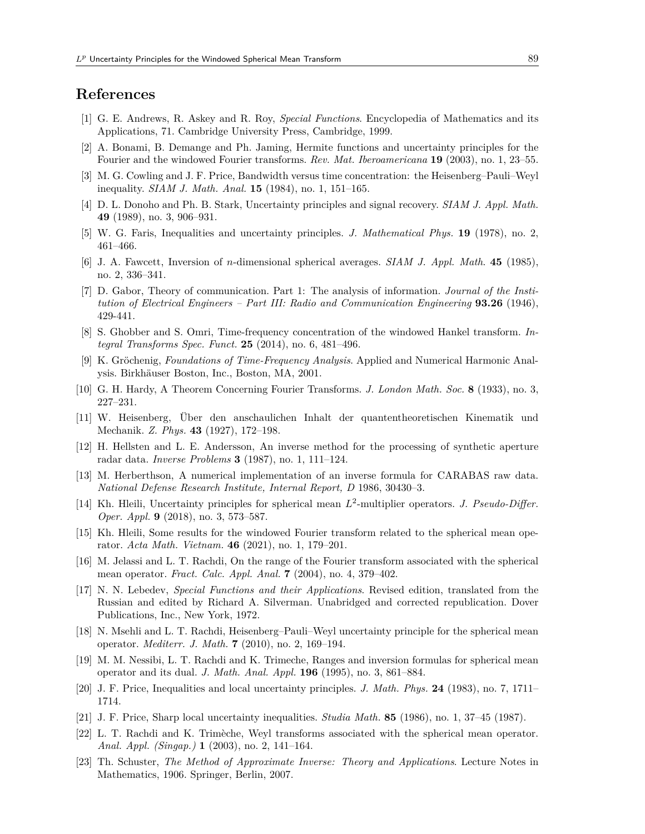### **References**

- [1] G. E. Andrews, R. Askey and R. Roy, *Special Functions*. Encyclopedia of Mathematics and its Applications, 71. Cambridge University Press, Cambridge, 1999.
- [2] A. Bonami, B. Demange and Ph. Jaming, Hermite functions and uncertainty principles for the Fourier and the windowed Fourier transforms. *Rev. Mat. Iberoamericana* **19** (2003), no. 1, 23–55.
- [3] M. G. Cowling and J. F. Price, Bandwidth versus time concentration: the Heisenberg–Pauli–Weyl inequality. *SIAM J. Math. Anal.* **15** (1984), no. 1, 151–165.
- [4] D. L. Donoho and Ph. B. Stark, Uncertainty principles and signal recovery. *SIAM J. Appl. Math.* **49** (1989), no. 3, 906–931.
- [5] W. G. Faris, Inequalities and uncertainty principles. *J. Mathematical Phys.* **19** (1978), no. 2, 461–466.
- [6] J. A. Fawcett, Inversion of *n*-dimensional spherical averages. *SIAM J. Appl. Math*. **45** (1985), no. 2, 336–341.
- [7] D. Gabor, Theory of communication. Part 1: The analysis of information. *Journal of the Institution of Electrical Engineers – Part III: Radio and Communication Engineering* **93.26** (1946), 429-441.
- [8] S. Ghobber and S. Omri, Time-frequency concentration of the windowed Hankel transform. *Integral Transforms Spec. Funct.* **25** (2014), no. 6, 481–496.
- [9] K. Gröchenig, *Foundations of Time-Frequency Analysis*. Applied and Numerical Harmonic Analysis. Birkhäuser Boston, Inc., Boston, MA, 2001.
- [10] G. H. Hardy, A Theorem Concerning Fourier Transforms. *J. London Math. Soc.* **8** (1933), no. 3, 227–231.
- [11] W. Heisenberg, Über den anschaulichen Inhalt der quantentheoretischen Kinematik und Mechanik. *Z. Phys.* **43** (1927), 172–198.
- [12] H. Hellsten and L. E. Andersson, An inverse method for the processing of synthetic aperture radar data. *Inverse Problems* **3** (1987), no. 1, 111–124.
- [13] M. Herberthson, A numerical implementation of an inverse formula for CARABAS raw data. *National Defense Research Institute, Internal Report, D* 1986, 30430–3.
- [14] Kh. Hleili, Uncertainty principles for spherical mean  $L^2$ -multiplier operators. *J. Pseudo-Differ. Oper. Appl.* **9** (2018), no. 3, 573–587.
- [15] Kh. Hleili, Some results for the windowed Fourier transform related to the spherical mean operator. *Acta Math. Vietnam.* **46** (2021), no. 1, 179–201.
- [16] M. Jelassi and L. T. Rachdi, On the range of the Fourier transform associated with the spherical mean operator. *Fract. Calc. Appl. Anal.* **7** (2004), no. 4, 379–402.
- [17] N. N. Lebedev, *Special Functions and their Applications*. Revised edition, translated from the Russian and edited by Richard A. Silverman. Unabridged and corrected republication. Dover Publications, Inc., New York, 1972.
- [18] N. Msehli and L. T. Rachdi, Heisenberg–Pauli–Weyl uncertainty principle for the spherical mean operator. *Mediterr. J. Math.* **7** (2010), no. 2, 169–194.
- [19] M. M. Nessibi, L. T. Rachdi and K. Trimeche, Ranges and inversion formulas for spherical mean operator and its dual. *J. Math. Anal. Appl.* **196** (1995), no. 3, 861–884.
- [20] J. F. Price, Inequalities and local uncertainty principles. *J. Math. Phys.* **24** (1983), no. 7, 1711– 1714.
- [21] J. F. Price, Sharp local uncertainty inequalities. *Studia Math.* **85** (1986), no. 1, 37–45 (1987).
- [22] L. T. Rachdi and K. Trimèche, Weyl transforms associated with the spherical mean operator. *Anal. Appl. (Singap.)* **1** (2003), no. 2, 141–164.
- [23] Th. Schuster, *The Method of Approximate Inverse: Theory and Applications*. Lecture Notes in Mathematics, 1906. Springer, Berlin, 2007.